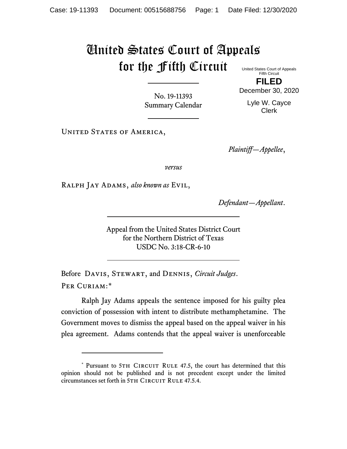## United States Court of Appeals for the Fifth Circuit United States Court of Appeals

Fifth Circuit **FILED**

No. 19-11393 Summary Calendar December 30, 2020 Lyle W. Cayce

Clerk

UNITED STATES OF AMERICA,

*Plaintiff—Appellee*,

*versus*

Ralph Jay Adams, *also known as* Evil,

*Defendant—Appellant*.

Appeal from the United States District Court for the Northern District of Texas USDC No. 3:18-CR-6-10

Before Davis, Stewart, and Dennis, *Circuit Judges*. Per Curiam:[\\*](#page-0-0)

Ralph Jay Adams appeals the sentence imposed for his guilty plea conviction of possession with intent to distribute methamphetamine. The Government moves to dismiss the appeal based on the appeal waiver in his plea agreement. Adams contends that the appeal waiver is unenforceable

<span id="page-0-0"></span><sup>\*</sup> Pursuant to 5TH CIRCUIT RULE 47.5, the court has determined that this opinion should not be published and is not precedent except under the limited circumstances set forth in 5TH CIRCUIT RULE 47.5.4.